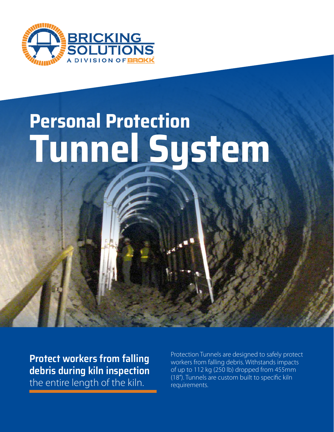

# **Personal Protection Tunnel System**

**Protect workers from falling debris during kiln inspection**  the entire length of the kiln.

Protection Tunnels are designed to safely protect workers from falling debris. Withstands impacts of up to 112 kg (250 lb) dropped from 455mm (18"). Tunnels are custom built to specific kiln requirements.